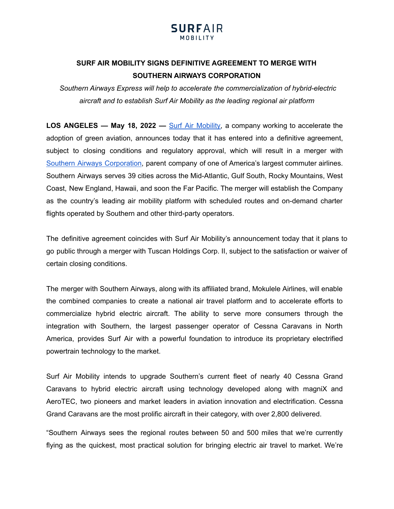## **SURFAIR**

### **SURF AIR MOBILITY SIGNS DEFINITIVE AGREEMENT TO MERGE WITH SOUTHERN AIRWAYS CORPORATION**

*Southern Airways Express will help to accelerate the commercialization of hybrid-electric aircraft and to establish Surf Air Mobility as the leading regional air platform*

**LOS ANGELES — May 18, 2022 —** Surf Air [Mobility,](https://www.surfairmobility.com/) a company working to accelerate the adoption of green aviation, announces today that it has entered into a definitive agreement, subject to closing conditions and regulatory approval, which will result in a merger wit[h](https://iflysouthern.com/) Southern Airways [Corporation](https://iflysouthern.com/), parent company of one of America's largest commuter airlines. Southern Airways serves 39 cities across the Mid-Atlantic, Gulf South, Rocky Mountains, West Coast, New England, Hawaii, and soon the Far Pacific. The merger will establish the Company as the country's leading air mobility platform with scheduled routes and on-demand charter flights operated by Southern and other third-party operators.

The definitive agreement coincides with Surf Air Mobility's announcement today that it plans to go public through a merger with Tuscan Holdings Corp. II, subject to the satisfaction or waiver of certain closing conditions.

The merger with Southern Airways, along with its affiliated brand, Mokulele Airlines, will enable the combined companies to create a national air travel platform and to accelerate efforts to commercialize hybrid electric aircraft. The ability to serve more consumers through the integration with Southern, the largest passenger operator of Cessna Caravans in North America, provides Surf Air with a powerful foundation to introduce its proprietary electrified powertrain technology to the market.

Surf Air Mobility intends to upgrade Southern's current fleet of nearly 40 Cessna Grand Caravans to hybrid electric aircraft using technology developed along with magniX and AeroTEC, two pioneers and market leaders in aviation innovation and electrification. Cessna Grand Caravans are the most prolific aircraft in their category, with over 2,800 delivered.

"Southern Airways sees the regional routes between 50 and 500 miles that we're currently flying as the quickest, most practical solution for bringing electric air travel to market. We're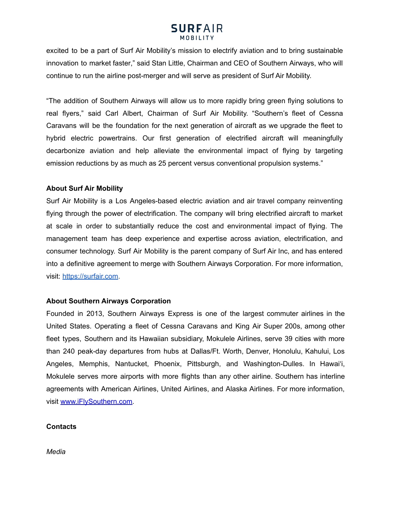# **SURFAIR**

excited to be a part of Surf Air Mobility's mission to electrify aviation and to bring sustainable innovation to market faster," said Stan Little, Chairman and CEO of Southern Airways, who will continue to run the airline post-merger and will serve as president of Surf Air Mobility.

"The addition of Southern Airways will allow us to more rapidly bring green flying solutions to real flyers," said Carl Albert, Chairman of Surf Air Mobility. "Southern's fleet of Cessna Caravans will be the foundation for the next generation of aircraft as we upgrade the fleet to hybrid electric powertrains. Our first generation of electrified aircraft will meaningfully decarbonize aviation and help alleviate the environmental impact of flying by targeting emission reductions by as much as 25 percent versus conventional propulsion systems."

### **About Surf Air Mobility**

Surf Air Mobility is a Los Angeles-based electric aviation and air travel company reinventing flying through the power of electrification. The company will bring electrified aircraft to market at scale in order to substantially reduce the cost and environmental impact of flying. The management team has deep experience and expertise across aviation, electrification, and consumer technology. Surf Air Mobility is the parent company of Surf Air Inc, and has entered into a definitive agreement to merge with Southern Airways Corporation. For more information, visit: [https://surfair.com.](https://surfair.com)

### **About Southern Airways Corporation**

Founded in 2013, Southern Airways Express is one of the largest commuter airlines in the United States. Operating a fleet of Cessna Caravans and King Air Super 200s, among other fleet types, Southern and its Hawaiian subsidiary, Mokulele Airlines, serve 39 cities with more than 240 peak-day departures from hubs at Dallas/Ft. Worth, Denver, Honolulu, Kahului, Los Angeles, Memphis, Nantucket, Phoenix, Pittsburgh, and Washington-Dulles. In Hawai'i, Mokulele serves more airports with more flights than any other airline. Southern has interline agreements with American Airlines, United Airlines, and Alaska Airlines. For more information, visit [www.iFlySouthern.com.](http://www.iflysouthern.com)

#### **Contacts**

*Media*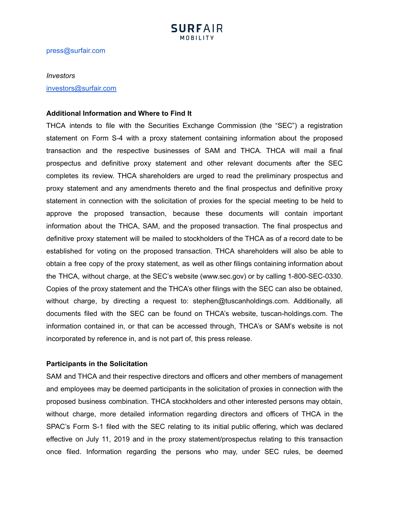

press@surfair.com

#### *Investors*

[investors@surfair.com](mailto:investors@surfair.com)

#### **Additional Information and Where to Find It**

THCA intends to file with the Securities Exchange Commission (the "SEC") a registration statement on Form S-4 with a proxy statement containing information about the proposed transaction and the respective businesses of SAM and THCA. THCA will mail a final prospectus and definitive proxy statement and other relevant documents after the SEC completes its review. THCA shareholders are urged to read the preliminary prospectus and proxy statement and any amendments thereto and the final prospectus and definitive proxy statement in connection with the solicitation of proxies for the special meeting to be held to approve the proposed transaction, because these documents will contain important information about the THCA, SAM, and the proposed transaction. The final prospectus and definitive proxy statement will be mailed to stockholders of the THCA as of a record date to be established for voting on the proposed transaction. THCA shareholders will also be able to obtain a free copy of the proxy statement, as well as other filings containing information about the THCA, without charge, at the SEC's website (www.sec.gov) or by calling 1-800-SEC-0330. Copies of the proxy statement and the THCA's other filings with the SEC can also be obtained, without charge, by directing a request to: stephen@tuscanholdings.com. Additionally, all documents filed with the SEC can be found on THCA's website, [tuscan-holdings.com](http://tuscan-holdings.com/). The information contained in, or that can be accessed through, THCA's or SAM's website is not incorporated by reference in, and is not part of, this press release.

#### **Participants in the Solicitation**

SAM and THCA and their respective directors and officers and other members of management and employees may be deemed participants in the solicitation of proxies in connection with the proposed business combination. THCA stockholders and other interested persons may obtain, without charge, more detailed information regarding directors and officers of THCA in the SPAC's Form S-1 filed with the SEC relating to its initial public offering, which was declared effective on July 11, 2019 and in the proxy statement/prospectus relating to this transaction once filed. Information regarding the persons who may, under SEC rules, be deemed